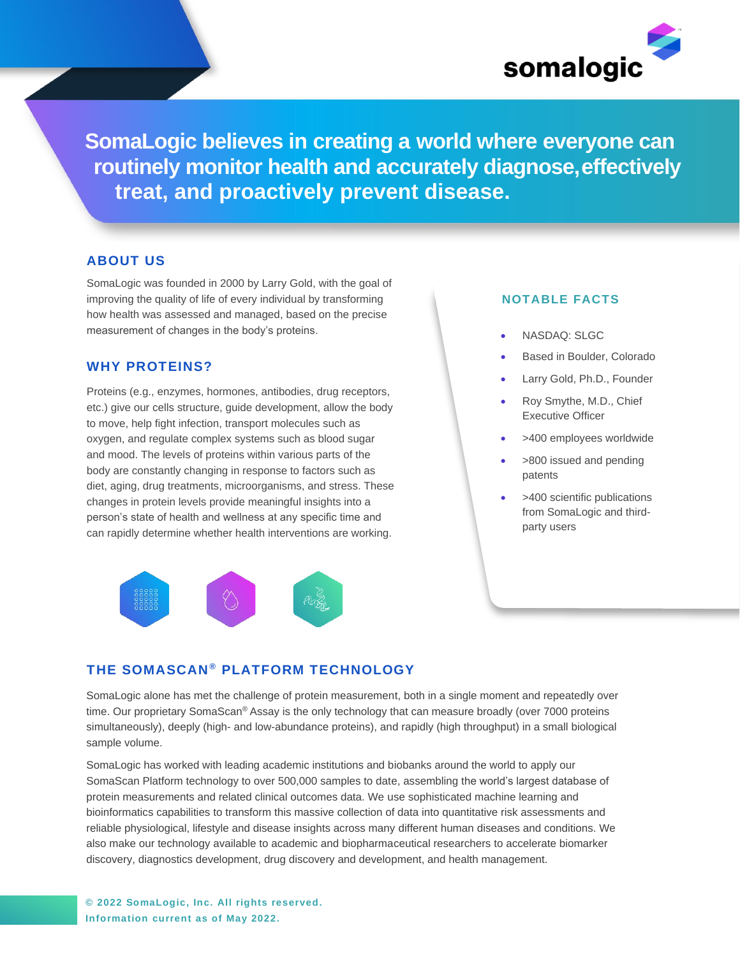

**SomaLogic believes in creating a world where everyone can routinely monitor health and accurately diagnose,effectively treat, and proactively prevent disease.**

# **ABOUT US**

SomaLogic was founded in 2000 by Larry Gold, with the goal of improving the quality of life of every individual by transforming how health was assessed and managed, based on the precise measurement of changes in the body's proteins.

## **WHY PROTEINS?**

Proteins (e.g., enzymes, hormones, antibodies, drug receptors, etc.) give our cells structure, guide development, allow the body to move, help fight infection, transport molecules such as oxygen, and regulate complex systems such as blood sugar and mood. The levels of proteins within various parts of the body are constantly changing in response to factors such as diet, aging, drug treatments, microorganisms, and stress. These changes in protein levels provide meaningful insights into a person's state of health and wellness at any specific time and can rapidly determine whether health interventions are working.



### **NOTABLE FACTS**

- NASDAQ: SLGC
- Based in Boulder, Colorado
- Larry Gold, Ph.D., Founder
- Roy Smythe, M.D., Chief Executive Officer
- >400 employees worldwide
- >800 issued and pending patents
- >400 scientific publications from SomaLogic and thirdparty users

## **THE SOMASCAN ® PLATFORM TECHNOLOGY**

SomaLogic alone has met the challenge of protein measurement, both in a single moment and repeatedly over time. Our proprietary SomaScan® Assay is the only technology that can measure broadly (over 7000 proteins simultaneously), deeply (high- and low-abundance proteins), and rapidly (high throughput) in a small biological sample volume.

SomaLogic has worked with leading academic institutions and biobanks around the world to apply our SomaScan Platform technology to over 500,000 samples to date, assembling the world's largest database of protein measurements and related clinical outcomes data. We use sophisticated machine learning and bioinformatics capabilities to transform this massive collection of data into quantitative risk assessments and reliable physiological, lifestyle and disease insights across many different human diseases and conditions. We also make our technology available to academic and biopharmaceutical researchers to accelerate biomarker discovery, diagnostics development, drug discovery and development, and health management.